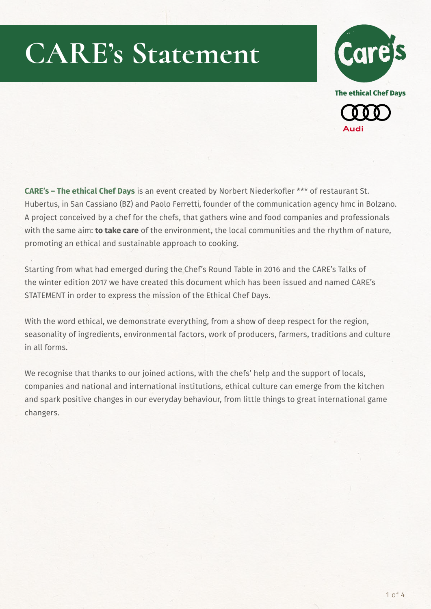



**CARE's – The ethical Chef Days** is an event created by Norbert Niederkofler \*\*\* of restaurant St. Hubertus, in San Cassiano (BZ) and Paolo Ferretti, founder of the communication agency hmc in Bolzano. A project conceived by a chef for the chefs, that gathers wine and food companies and professionals with the same aim: **to take care** of the environment, the local communities and the rhythm of nature, promoting an ethical and sustainable approach to cooking.

Starting from what had emerged during the Chef's Round Table in 2016 and the CARE's Talks of the winter edition 2017 we have created this document which has been issued and named CARE's STATEMENT in order to express the mission of the Ethical Chef Days.

With the word ethical, we demonstrate everything, from a show of deep respect for the region, seasonality of ingredients, environmental factors, work of producers, farmers, traditions and culture in all forms.

We recognise that thanks to our joined actions, with the chefs' help and the support of locals, companies and national and international institutions, ethical culture can emerge from the kitchen and spark positive changes in our everyday behaviour, from little things to great international game changers.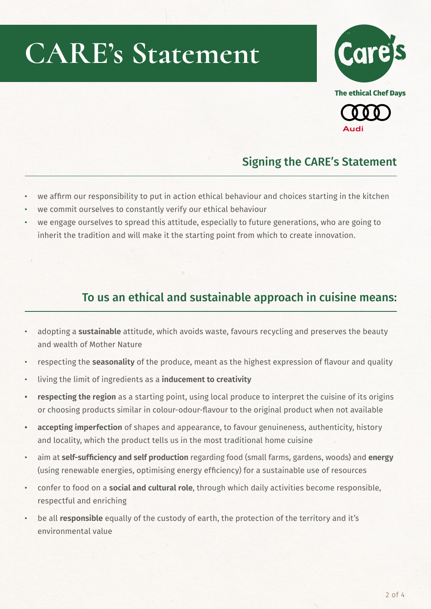

**The ethical Chef Days** 



#### Signing the CARE's Statement

- we affirm our responsibility to put in action ethical behaviour and choices starting in the kitchen
- we commit ourselves to constantly verify our ethical behaviour
- we engage ourselves to spread this attitude, especially to future generations, who are going to inherit the tradition and will make it the starting point from which to create innovation.

#### To us an ethical and sustainable approach in cuisine means:

- adopting a **sustainable** attitude, which avoids waste, favours recycling and preserves the beauty and wealth of Mother Nature
- respecting the **seasonality** of the produce, meant as the highest expression of flavour and quality
- living the limit of ingredients as a **inducement to creativity**
- **• respecting the region** as a starting point, using local produce to interpret the cuisine of its origins or choosing products similar in colour-odour-flavour to the original product when not available
- **• accepting imperfection** of shapes and appearance, to favour genuineness, authenticity, history and locality, which the product tells us in the most traditional home cuisine
- aim at **self-sufficiency and self production** regarding food (small farms, gardens, woods) and **energy** (using renewable energies, optimising energy efficiency) for a sustainable use of resources
- confer to food on a **social and cultural role**, through which daily activities become responsible, respectful and enriching
- be all **responsible** equally of the custody of earth, the protection of the territory and it's environmental value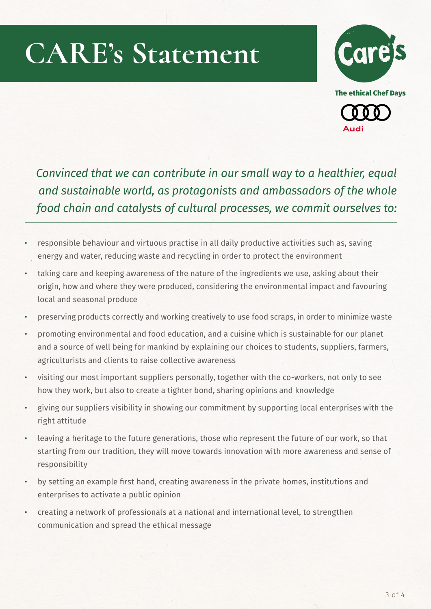



*Convinced that we can contribute in our small way to a healthier, equal and sustainable world, as protagonists and ambassadors of the whole food chain and catalysts of cultural processes, we commit ourselves to:*

- responsible behaviour and virtuous practise in all daily productive activities such as, saving energy and water, reducing waste and recycling in order to protect the environment
- taking care and keeping awareness of the nature of the ingredients we use, asking about their origin, how and where they were produced, considering the environmental impact and favouring local and seasonal produce
- preserving products correctly and working creatively to use food scraps, in order to minimize waste
- promoting environmental and food education, and a cuisine which is sustainable for our planet and a source of well being for mankind by explaining our choices to students, suppliers, farmers, agriculturists and clients to raise collective awareness
- visiting our most important suppliers personally, together with the co-workers, not only to see how they work, but also to create a tighter bond, sharing opinions and knowledge
- giving our suppliers visibility in showing our commitment by supporting local enterprises with the right attitude
- leaving a heritage to the future generations, those who represent the future of our work, so that starting from our tradition, they will move towards innovation with more awareness and sense of responsibility
- by setting an example first hand, creating awareness in the private homes, institutions and enterprises to activate a public opinion
- creating a network of professionals at a national and international level, to strengthen communication and spread the ethical message